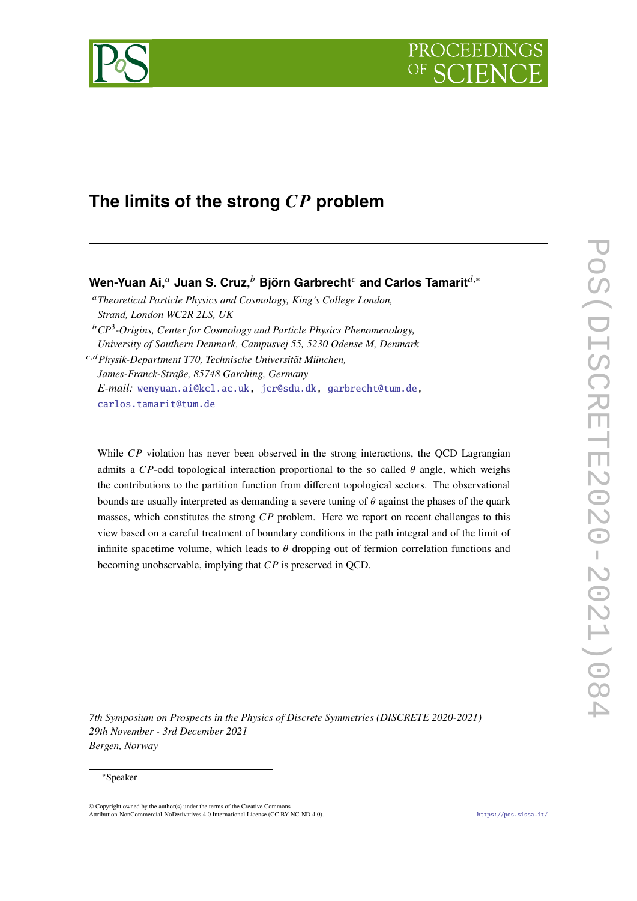

# The limits of the strong  $\overline{CP}$  problem

## **Wen-Yuan Ai,<sup>a</sup> Juan S. Cruz,<sup>b</sup> Björn Garbrecht<sup>c</sup> and Carlos Tamarit<sup>d,∗</sup>**

*Theoretical Particle Physics and Cosmology, King's College London, Strand, London WC2R 2LS, UK*

*CP*<sup>3</sup> *-Origins, Center for Cosmology and Particle Physics Phenomenology, University of Southern Denmark, Campusvej 55, 5230 Odense M, Denmark*

,*Physik-Department T70, Technische Universität München, James-Franck-Straße, 85748 Garching, Germany E-mail:* [wenyuan.ai@kcl.ac.uk,](mailto:wenyuan.ai@kcl.ac.uk) [jcr@sdu.dk,](mailto:jcr@sdu.dk) [garbrecht@tum.de,](mailto:garbrecht@tum.de) [carlos.tamarit@tum.de](mailto:carlos.tamarit@tum.de)

While  $\overline{CP}$  violation has never been observed in the strong interactions, the OCD Lagrangian admits a CP-odd topological interaction proportional to the so called  $\theta$  angle, which weighs the contributions to the partition function from different topological sectors. The observational bounds are usually interpreted as demanding a severe tuning of  $\theta$  against the phases of the quark masses, which constitutes the strong  $\overline{CP}$  problem. Here we report on recent challenges to this view based on a careful treatment of boundary conditions in the path integral and of the limit of infinite spacetime volume, which leads to  $\theta$  dropping out of fermion correlation functions and becoming unobservable, implying that  $\mathbb{CP}$  is preserved in QCD.

*7th Symposium on Prospects in the Physics of Discrete Symmetries (DISCRETE 2020-2021) 29th November - 3rd December 2021 Bergen, Norway*

#### <sup>∗</sup>Speaker

© Copyright owned by the author(s) under the terms of the Creative Commons Attribution-NonCommercial-NoDerivatives 4.0 International License (CC BY-NC-ND 4.0). <https://pos.sissa.it/>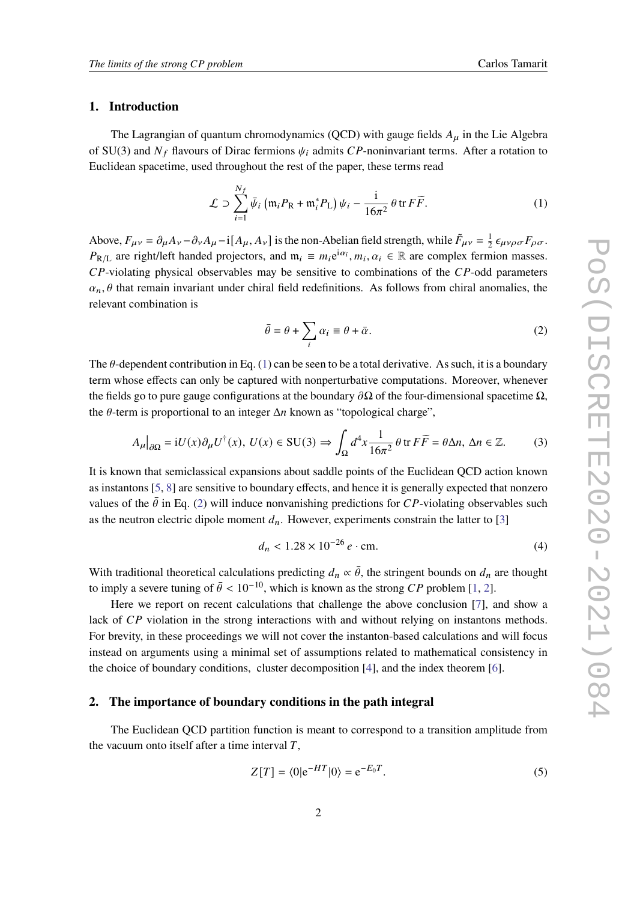#### **1. Introduction**

The Lagrangian of quantum chromodynamics (QCD) with gauge fields  $A_{\mu}$  in the Lie Algebra of SU(3) and  $N_f$  flavours of Dirac fermions  $\psi_i$  admits CP-noninvariant terms. After a rotation to Euclidean spacetime, used throughout the rest of the paper, these terms read

$$
\mathcal{L} \supset \sum_{i=1}^{N_f} \bar{\psi}_i \left( \mathfrak{m}_i P_\mathcal{R} + \mathfrak{m}_i^* P_\mathcal{L} \right) \psi_i - \frac{i}{16\pi^2} \theta \operatorname{tr} F \widetilde{F}.
$$
 (1)

Above,  $F_{\mu\nu} = \partial_{\mu}A_{\nu} - \partial_{\nu}A_{\mu} - i[A_{\mu}, A_{\nu}]$  is the non-Abelian field strength, while  $\tilde{F}_{\mu\nu} = \frac{1}{2}$  $\frac{1}{2} \epsilon_{\mu\nu\rho\sigma} F_{\rho\sigma}$ .  $P_{R/L}$  are right/left handed projectors, and  $m_i \equiv m_i e^{i\alpha_i}, m_i, \alpha_i \in \mathbb{R}$  are complex fermion masses.  $CP$ -violating physical observables may be sensitive to combinations of the  $CP$ -odd parameters  $\alpha_n$ ,  $\theta$  that remain invariant under chiral field redefinitions. As follows from chiral anomalies, the relevant combination is

<span id="page-1-3"></span><span id="page-1-1"></span><span id="page-1-0"></span>
$$
\bar{\theta} = \theta + \sum_{i} \alpha_i \equiv \theta + \bar{\alpha}.
$$
 (2)

The  $\theta$ -dependent contribution in Eq. [\(1\)](#page-1-0) can be seen to be a total derivative. As such, it is a boundary term whose effects can only be captured with nonperturbative computations. Moreover, whenever the fields go to pure gauge configurations at the boundary  $\partial\Omega$  of the four-dimensional spacetime  $\Omega$ , the  $\theta$ -term is proportional to an integer  $\Delta n$  known as "topological charge",

$$
A_{\mu}|_{\partial\Omega} = iU(x)\partial_{\mu}U^{\dagger}(x), \ U(x) \in SU(3) \Rightarrow \int_{\Omega} d^{4}x \frac{1}{16\pi^{2}} \theta \operatorname{tr} F\widetilde{F} = \theta \Delta n, \ \Delta n \in \mathbb{Z}.\tag{3}
$$

It is known that semiclassical expansions about saddle points of the Euclidean QCD action known as instantons [\[5,](#page-5-0) [8\]](#page-5-1) are sensitive to boundary effects, and hence it is generally expected that nonzero values of the  $\bar{\theta}$  in Eq. [\(2\)](#page-1-1) will induce nonvanishing predictions for CP-violating observables such as the neutron electric dipole moment  $d_n$ . However, experiments constrain the latter to [\[3\]](#page-5-2)

$$
d_n < 1.28 \times 10^{-26} \, e \cdot \text{cm}.\tag{4}
$$

With traditional theoretical calculations predicting  $d_n \propto \bar{\theta}$ , the stringent bounds on  $d_n$  are thought to imply a severe tuning of  $\bar{\theta}$  < 10<sup>-10</sup>, which is known as the strong *CP* problem [\[1,](#page-5-3) [2\]](#page-5-4).

Here we report on recent calculations that challenge the above conclusion [\[7\]](#page-5-5), and show a lack of  $\mathbb{CP}$  violation in the strong interactions with and without relying on instantons methods. For brevity, in these proceedings we will not cover the instanton-based calculations and will focus instead on arguments using a minimal set of assumptions related to mathematical consistency in the choice of boundary conditions, cluster decomposition [\[4\]](#page-5-6), and the index theorem [\[6\]](#page-5-7).

#### **2. The importance of boundary conditions in the path integral**

The Euclidean QCD partition function is meant to correspond to a transition amplitude from the vacuum onto itself after a time interval  $T$ .

<span id="page-1-2"></span>
$$
Z[T] = \langle 0|e^{-HT}|0\rangle = e^{-E_0T}.
$$
\n<sup>(5)</sup>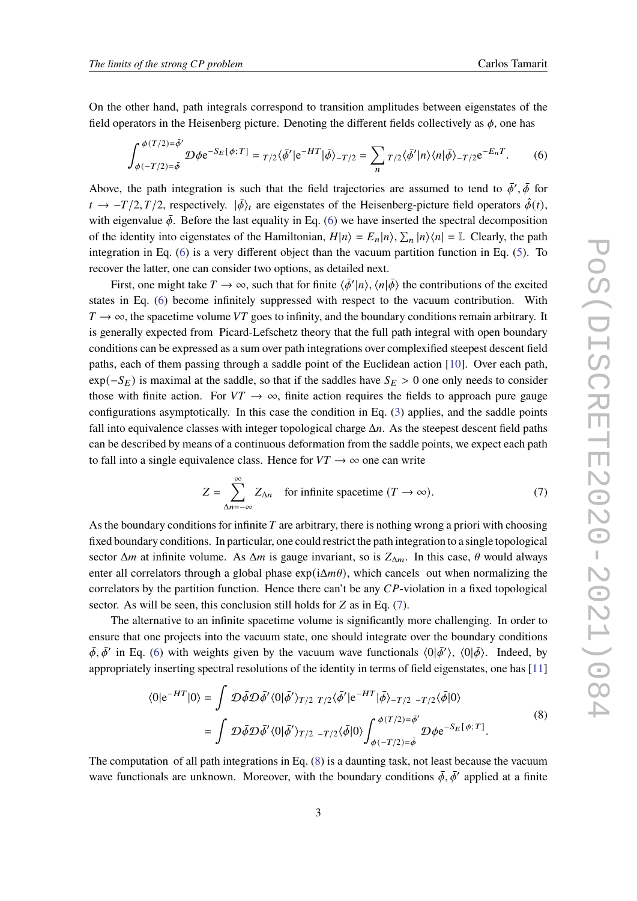On the other hand, path integrals correspond to transition amplitudes between eigenstates of the field operators in the Heisenberg picture. Denoting the different fields collectively as  $\phi$ , one has

<span id="page-2-0"></span>
$$
\int_{\phi(-T/2)=\bar{\phi}}^{\phi(T/2)=\bar{\phi}'} \mathcal{D}\phi e^{-S_E[\phi;T]} = \frac{T}{2}\langle \bar{\phi}'|e^{-HT}|\bar{\phi}\rangle - \frac{T}{2} = \sum_{n} \frac{T}{2}\langle \bar{\phi}'|n\rangle \langle n|\bar{\phi}\rangle - \frac{T}{2}e^{-E_nT}.\tag{6}
$$

Above, the path integration is such that the field trajectories are assumed to tend to  $\bar{\phi}', \bar{\phi}$  for  $t \to -T/2$ ,  $T/2$ , respectively.  $|\bar{\phi}\rangle_t$  are eigenstates of the Heisenberg-picture field operators  $\hat{\phi}(t)$ , with eigenvalue  $\bar{\phi}$ . Before the last equality in Eq. [\(6\)](#page-2-0) we have inserted the spectral decomposition of the identity into eigenstates of the Hamiltonian,  $H|n\rangle = E_n|n\rangle$ ,  $\sum_n |n\rangle\langle n| = \mathbb{I}$ . Clearly, the path integration in Eq. [\(6\)](#page-2-0) is a very different object than the vacuum partition function in Eq. [\(5\)](#page-1-2). To recover the latter, one can consider two options, as detailed next.

First, one might take  $T \to \infty$ , such that for finite  $\langle \bar{\phi}' | n \rangle$ ,  $\langle n | \bar{\phi} \rangle$  the contributions of the excited states in Eq. [\(6\)](#page-2-0) become infinitely suppressed with respect to the vacuum contribution. With  $T \rightarrow \infty$ , the spacetime volume VT goes to infinity, and the boundary conditions remain arbitrary. It is generally expected from Picard-Lefschetz theory that the full path integral with open boundary conditions can be expressed as a sum over path integrations over complexified steepest descent field paths, each of them passing through a saddle point of the Euclidean action [\[10\]](#page-5-8). Over each path,  $\exp(-S_E)$  is maximal at the saddle, so that if the saddles have  $S_E > 0$  one only needs to consider those with finite action. For  $VT \rightarrow \infty$ , finite action requires the fields to approach pure gauge configurations asymptotically. In this case the condition in Eq. [\(3\)](#page-1-3) applies, and the saddle points fall into equivalence classes with integer topological charge  $\Delta n$ . As the steepest descent field paths can be described by means of a continuous deformation from the saddle points, we expect each path to fall into a single equivalence class. Hence for  $VT \rightarrow \infty$  one can write

<span id="page-2-1"></span>
$$
Z = \sum_{\Delta n = -\infty}^{\infty} Z_{\Delta n}
$$
 for infinite spacetime  $(T \to \infty)$ . (7)

As the boundary conditions for infinite  $T$  are arbitrary, there is nothing wrong a priori with choosing fixed boundary conditions. In particular, one could restrict the path integration to a single topological sector  $\Delta m$  at infinite volume. As  $\Delta m$  is gauge invariant, so is  $Z_{\Delta m}$ . In this case,  $\theta$  would always enter all correlators through a global phase  $\exp(i\Delta m\theta)$ , which cancels out when normalizing the correlators by the partition function. Hence there can't be any  $CP$ -violation in a fixed topological sector. As will be seen, this conclusion still holds for  $Z$  as in Eq. [\(7\)](#page-2-1).

The alternative to an infinite spacetime volume is significantly more challenging. In order to ensure that one projects into the vacuum state, one should integrate over the boundary conditions  $\bar{\phi}, \bar{\phi}'$  in Eq. [\(6\)](#page-2-0) with weights given by the vacuum wave functionals  $\langle 0|\bar{\phi}'\rangle$ ,  $\langle 0|\bar{\phi}\rangle$ . Indeed, by appropriately inserting spectral resolutions of the identity in terms of field eigenstates, one has [\[11\]](#page-5-9)

<span id="page-2-2"></span>
$$
\langle 0|e^{-HT}|0\rangle = \int \mathcal{D}\bar{\phi}\mathcal{D}\bar{\phi}' \langle 0|\bar{\phi}'\rangle_{T/2} r_{/2} \langle \bar{\phi}'|e^{-HT}|\bar{\phi}\rangle_{-T/2} - r_{/2} \langle \bar{\phi}|0\rangle
$$
  

$$
= \int \mathcal{D}\bar{\phi}\mathcal{D}\bar{\phi}' \langle 0|\bar{\phi}'\rangle_{T/2} - r_{/2} \langle \bar{\phi}|0\rangle \int_{\phi(-T/2)=\bar{\phi}'}^{\phi(T/2)=\bar{\phi}'} \mathcal{D}\phi e^{-S_E[\phi;T]}.
$$
 (8)

The computation of all path integrations in Eq. [\(8\)](#page-2-2) is a daunting task, not least because the vacuum wave functionals are unknown. Moreover, with the boundary conditions  $\bar{\phi}$ ,  $\bar{\phi}'$  applied at a finite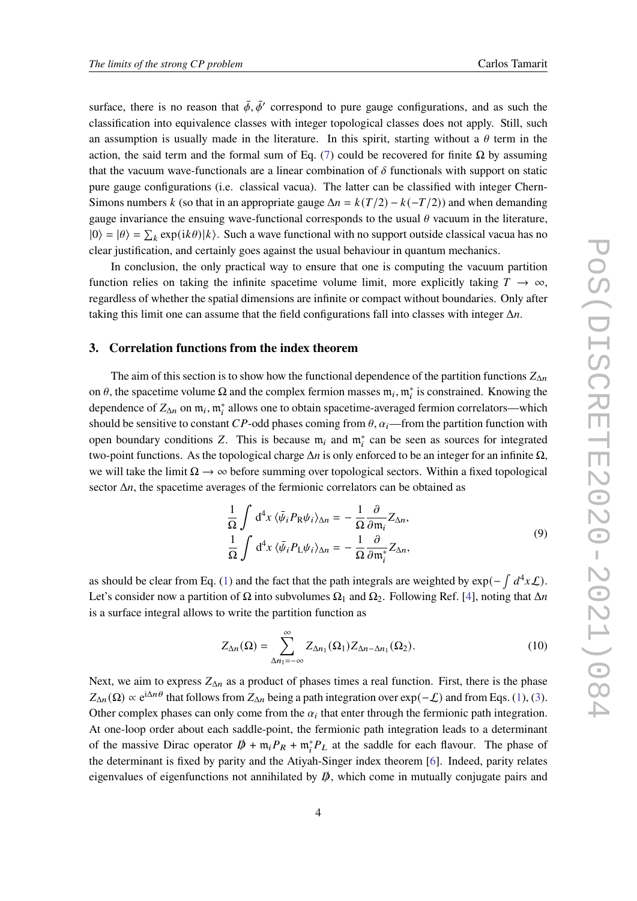surface, there is no reason that  $\bar{\phi}$ ,  $\bar{\phi}'$  correspond to pure gauge configurations, and as such the classification into equivalence classes with integer topological classes does not apply. Still, such an assumption is usually made in the literature. In this spirit, starting without a  $\theta$  term in the action, the said term and the formal sum of Eq. [\(7\)](#page-2-1) could be recovered for finite  $Ω$  by assuming that the vacuum wave-functionals are a linear combination of  $\delta$  functionals with support on static pure gauge configurations (i.e. classical vacua). The latter can be classified with integer Chern-Simons numbers k (so that in an appropriate gauge  $\Delta n = k(T/2) - k(-T/2)$ ) and when demanding gauge invariance the ensuing wave-functional corresponds to the usual  $\theta$  vacuum in the literature,  $|0\rangle = |\theta\rangle = \sum_k \exp(ik\theta)|k\rangle$ . Such a wave functional with no support outside classical vacua has no clear justification, and certainly goes against the usual behaviour in quantum mechanics.

In conclusion, the only practical way to ensure that one is computing the vacuum partition function relies on taking the infinite spacetime volume limit, more explicitly taking  $T \to \infty$ , regardless of whether the spatial dimensions are infinite or compact without boundaries. Only after taking this limit one can assume that the field configurations fall into classes with integer  $\Delta n$ .

#### **3. Correlation functions from the index theorem**

The aim of this section is to show how the functional dependence of the partition functions  $Z_{\Delta n}$ on  $\theta$ , the spacetime volume  $\Omega$  and the complex fermion masses  $\mathfrak{m}_i$ ,  $\mathfrak{m}_i^*$  is constrained. Knowing the dependence of  $Z_{\Delta n}$  on  $\mathfrak{m}_i$ ,  $\mathfrak{m}_i^*$  allows one to obtain spacetime-averaged fermion correlators—which should be sensitive to constant CP-odd phases coming from  $\theta$ ,  $\alpha_i$ —from the partition function with open boundary conditions Z. This is because  $m_i$  and  $m_i^*$  can be seen as sources for integrated two-point functions. As the topological charge  $\Delta n$  is only enforced to be an integer for an infinite  $\Omega$ , we will take the limit  $\Omega \to \infty$  before summing over topological sectors. Within a fixed topological sector  $\Delta n$ , the spacetime averages of the fermionic correlators can be obtained as

<span id="page-3-1"></span>
$$
\frac{1}{\Omega} \int d^4 x \langle \bar{\psi}_i P_R \psi_i \rangle_{\Delta n} = -\frac{1}{\Omega} \frac{\partial}{\partial m_i} Z_{\Delta n},
$$
\n
$$
\frac{1}{\Omega} \int d^4 x \langle \bar{\psi}_i P_L \psi_i \rangle_{\Delta n} = -\frac{1}{\Omega} \frac{\partial}{\partial m_i^*} Z_{\Delta n},
$$
\n(9)

as should be clear from Eq. [\(1\)](#page-1-0) and the fact that the path integrals are weighted by  $\exp(-\int d^4x \mathcal{L})$ . Let's consider now a partition of  $\Omega$  into subvolumes  $\Omega_1$  and  $\Omega_2$ . Following Ref. [\[4\]](#page-5-6), noting that  $\Delta n$ is a surface integral allows to write the partition function as

<span id="page-3-0"></span>
$$
Z_{\Delta n}(\Omega) = \sum_{\Delta n_1 = -\infty}^{\infty} Z_{\Delta n_1}(\Omega_1) Z_{\Delta n - \Delta n_1}(\Omega_2).
$$
 (10)

Next, we aim to express  $Z_{\Delta n}$  as a product of phases times a real function. First, there is the phase  $Z_{\Delta n}(\Omega) \propto e^{i\Delta n \theta}$  that follows from  $Z_{\Delta n}$  being a path integration over  $\exp(-\mathcal{L})$  and from Eqs. [\(1\)](#page-1-0), [\(3\)](#page-1-3). Other complex phases can only come from the  $\alpha_i$  that enter through the fermionic path integration. At one-loop order about each saddle-point, the fermionic path integration leads to a determinant of the massive Dirac operator  $D + m_i P_R + m_i^* P_L$  at the saddle for each flavour. The phase of the determinant is fixed by parity and the Atiyah-Singer index theorem [\[6\]](#page-5-7). Indeed, parity relates eigenvalues of eigenfunctions not annihilated by  $\vec{p}$ , which come in mutually conjugate pairs and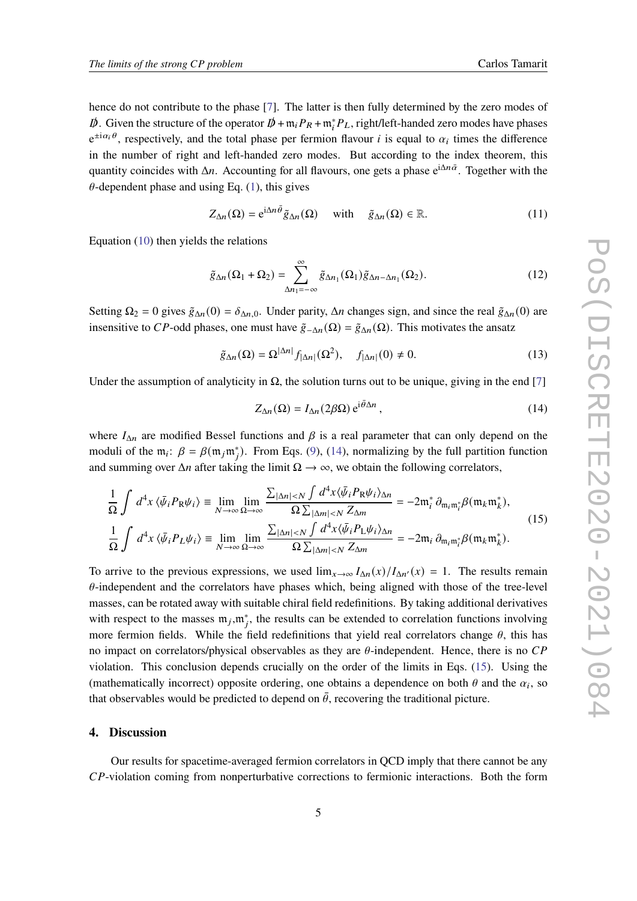hence do not contribute to the phase [\[7\]](#page-5-5). The latter is then fully determined by the zero modes of  $\not{D}$ . Given the structure of the operator  $\not{D} + \mathfrak{m}_i P_R + \mathfrak{m}_i^* P_L$ , right/left-handed zero modes have phases  $e^{\pm i\alpha_i \theta}$ , respectively, and the total phase per fermion flavour *i* is equal to  $\alpha_i$  times the difference in the number of right and left-handed zero modes. But according to the index theorem, this quantity coincides with  $\Delta n$ . Accounting for all flavours, one gets a phase  $e^{i\Delta n\bar{\alpha}}$ . Together with the  $\theta$ -dependent phase and using Eq. [\(1\)](#page-1-0), this gives

$$
Z_{\Delta n}(\Omega) = e^{i\Delta n \bar{\theta}} \tilde{g}_{\Delta n}(\Omega) \quad \text{with} \quad \tilde{g}_{\Delta n}(\Omega) \in \mathbb{R}.
$$
 (11)

Equation [\(10\)](#page-3-0) then yields the relations

$$
\tilde{g}_{\Delta n}(\Omega_1 + \Omega_2) = \sum_{\Delta n_1 = -\infty}^{\infty} \tilde{g}_{\Delta n_1}(\Omega_1) \tilde{g}_{\Delta n - \Delta n_1}(\Omega_2).
$$
 (12)

Setting  $\Omega_2 = 0$  gives  $\tilde{g}_{\Delta n}(0) = \delta_{\Delta n,0}$ . Under parity,  $\Delta n$  changes sign, and since the real  $\tilde{g}_{\Delta n}(0)$  are insensitive to CP-odd phases, one must have  $\tilde{g}_{\Delta n}(\Omega) = \tilde{g}_{\Delta n}(\Omega)$ . This motivates the ansatz

$$
\tilde{g}_{\Delta n}(\Omega) = \Omega^{|\Delta n|} f_{|\Delta n|}(\Omega^2), \quad f_{|\Delta n|}(0) \neq 0.
$$
 (13)

Under the assumption of analyticity in  $\Omega$ , the solution turns out to be unique, giving in the end [\[7\]](#page-5-5)

<span id="page-4-1"></span><span id="page-4-0"></span>
$$
Z_{\Delta n}(\Omega) = I_{\Delta n}(2\beta\Omega) e^{i\bar{\theta}\Delta n}, \qquad (14)
$$

where  $I_{\Delta n}$  are modified Bessel functions and  $\beta$  is a real parameter that can only depend on the moduli of the  $m_i$ :  $\beta = \beta(m_j m_j^*)$ . From Eqs. [\(9\)](#page-3-1), [\(14\)](#page-4-0), normalizing by the full partition function and summing over  $\Delta n$  after taking the limit  $\Omega \to \infty$ , we obtain the following correlators,

$$
\frac{1}{\Omega} \int d^4 x \langle \bar{\psi}_i P_R \psi_i \rangle \equiv \lim_{N \to \infty} \lim_{\Omega \to \infty} \frac{\sum_{|\Delta n| < N} \int d^4 x \langle \bar{\psi}_i P_R \psi_i \rangle_{\Delta n}}{\Omega \sum_{|\Delta m| < N} \sum_{\Delta m}} = -2 \mathfrak{m}_i^* \partial_{\mathfrak{m}_i \mathfrak{m}_i^*} \beta(\mathfrak{m}_k \mathfrak{m}_k^*),
$$
\n
$$
\frac{1}{\Omega} \int d^4 x \langle \bar{\psi}_i P_L \psi_i \rangle \equiv \lim_{N \to \infty} \lim_{\Omega \to \infty} \frac{\sum_{|\Delta n| < N} \int d^4 x \langle \bar{\psi}_i P_L \psi_i \rangle_{\Delta n}}{\Omega \sum_{|\Delta m| < N} \sum_{\Delta m}} = -2 \mathfrak{m}_i \partial_{\mathfrak{m}_i \mathfrak{m}_i^*} \beta(\mathfrak{m}_k \mathfrak{m}_k^*).
$$
\n(15)

To arrive to the previous expressions, we used  $\lim_{x\to\infty} I_{\Delta n}(x)/I_{\Delta n'}(x) = 1$ . The results remain  $\theta$ -independent and the correlators have phases which, being aligned with those of the tree-level masses, can be rotated away with suitable chiral field redefinitions. By taking additional derivatives with respect to the masses  $m_j, m_j^*$ , the results can be extended to correlation functions involving more fermion fields. While the field redefinitions that yield real correlators change  $\theta$ , this has no impact on correlators/physical observables as they are  $\theta$ -independent. Hence, there is no CP violation. This conclusion depends crucially on the order of the limits in Eqs. [\(15\)](#page-4-1). Using the (mathematically incorrect) opposite ordering, one obtains a dependence on both  $\theta$  and the  $\alpha_i$ , so that observables would be predicted to depend on  $\bar{\theta}$ , recovering the traditional picture.

#### **4. Discussion**

Our results for spacetime-averaged fermion correlators in QCD imply that there cannot be any  $CP$ -violation coming from nonperturbative corrections to fermionic interactions. Both the form